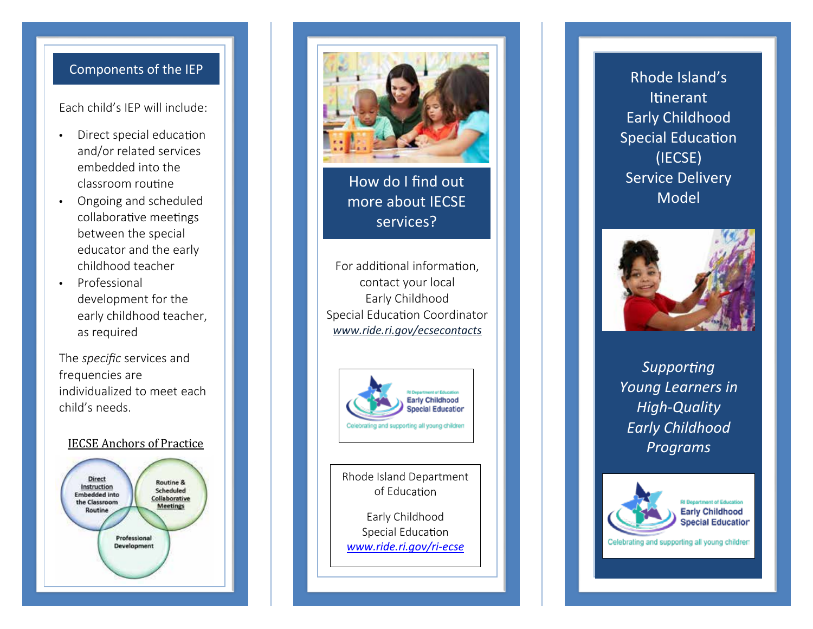## Components of the IEP

Each child's IEP will include:

- Direct special education and/or related services embedded into the classroom routine
- Ongoing and scheduled collaborative mee between the special educator and the early childhood teacher
- Professional development for the early childhood teacher, as required

The *specific* services and frequencies are individualized to meet each child's needs.

# <u>IECSE Anchors of Practice</u>





How do I find out more a bou t IECSE services?

> y china<br>Y china<br>Y china l d ?

m

For

For additional informa contact your local Early Childhood Special Education Coordinator www.ride.ri.gov/ecsecontacts



Rhode Island Department o f Edu c

Ea rly Childho od Sp e cia l Edu c *w w w . r i d e . r i . g o v/ri - e cse*

Rhode Island's Itinerant Early Ch i ldhood Special Education (IECS E) Se rvi ce Del ivery Model



Supporting Young Learners in *H igh - Q u ali t y Ear ly Chi ldho od P r o grams*



**RI Department of Educatio Early Childhood Special Education** 

Celebrating and supporting all young children